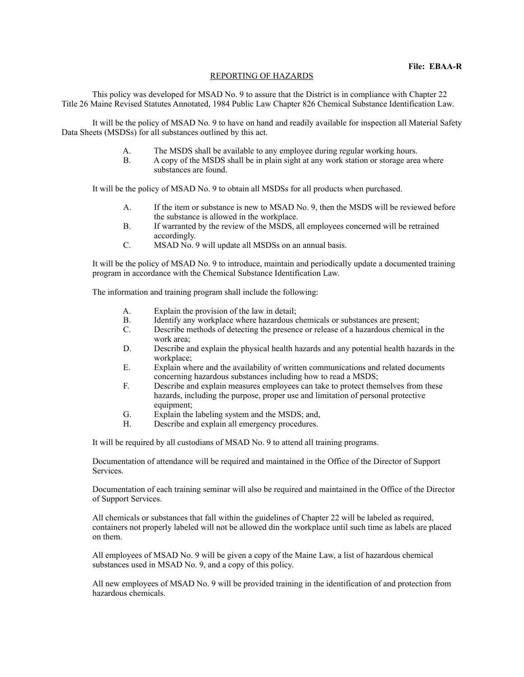## REPORTING OF HAZARDS

 This policy was developed for MSAD No. 9 to assure that the District is in compliance with Chapter 22 Title 26 Maine Revised Statutes Annotated, 1984 Public Law Chapter 826 Chemical Substance Identification Law.

 It will be the policy of MSAD No. 9 to have on hand and readily available for inspection all Material Safety Data Sheets (MSDSs) for all substances outlined by this act.

- A. The MSDS shall be available to any employee during regular working hours.
- B. A copy of the MSDS shall be in plain sight at any work station or storage area where substances are found.

It will be the policy of MSAD No. 9 to obtain all MSDSs for all products when purchased.

- A. If the item or substance is new to MSAD No. 9, then the MSDS will be reviewed before the substance is allowed in the workplace.
- B. If warranted by the review of the MSDS, all employees concerned will be retrained accordingly.
- C. MSAD No. 9 will update all MSDSs on an annual basis.

It will be the policy of MSAD No. 9 to introduce, maintain and periodically update a documented training program in accordance with the Chemical Substance Identification Law.

The information and training program shall include the following:

- A. Explain the provision of the law in detail;
- B. Identify any workplace where hazardous chemicals or substances are present;
- C. Describe methods of detecting the presence or release of a hazardous chemical in the work area;
- D. Describe and explain the physical health hazards and any potential health hazards in the workplace;
- E. Explain where and the availability of written communications and related documents concerning hazardous substances including how to read a MSDS;
- F. Describe and explain measures employees can take to protect themselves from these hazards, including the purpose, proper use and limitation of personal protective equipment;
- G. Explain the labeling system and the MSDS; and,<br>H. Describe and explain all emergency procedures.
- Describe and explain all emergency procedures.

It will be required by all custodians of MSAD No. 9 to attend all training programs.

Documentation of attendance will be required and maintained in the Office of the Director of Support Services.

Documentation of each training seminar will also be required and maintained in the Office of the Director of Support Services.

All chemicals or substances that fall within the guidelines of Chapter 22 will be labeled as required, containers not properly labeled will not be allowed din the workplace until such time as labels are placed on them.

All employees of MSAD No. 9 will be given a copy of the Maine Law, a list of hazardous chemical substances used in MSAD No. 9, and a copy of this policy.

All new employees of MSAD No. 9 will be provided training in the identification of and protection from hazardous chemicals.